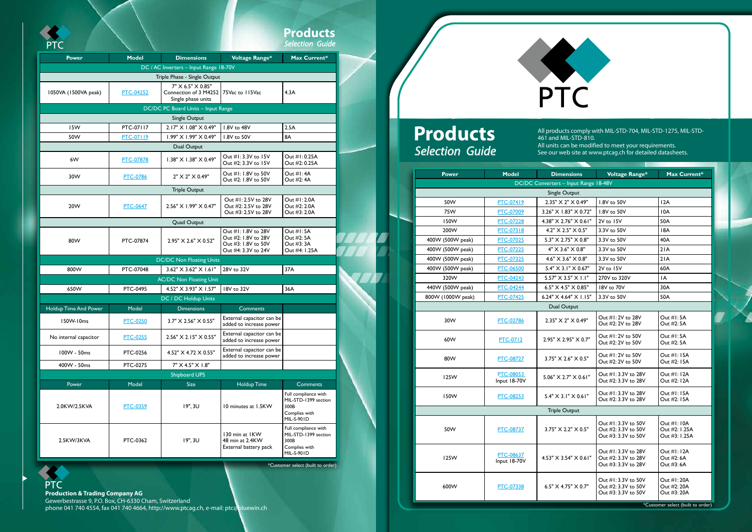|                       |                  |                                                                  |                                                                                          | <b>Products</b><br><b>Selection Guide</b>                                           |  |
|-----------------------|------------------|------------------------------------------------------------------|------------------------------------------------------------------------------------------|-------------------------------------------------------------------------------------|--|
| <b>Power</b>          | <b>Model</b>     | <b>Dimensions</b>                                                | <b>Voltage Range*</b>                                                                    | Max Current*                                                                        |  |
|                       |                  | DC / AC Inverters - Input Range 18-70V                           |                                                                                          |                                                                                     |  |
|                       |                  | Triple Phase - Single Output                                     |                                                                                          |                                                                                     |  |
| 1050VA (1500VA peak)  | <b>PTC-04252</b> | 7" X 6.5" X 0.85"<br>Connection of 3 M4252<br>Single phase units | 75Vac to 115Vac                                                                          | 4.3A                                                                                |  |
|                       |                  | DC/DC PC Board Units - Input Range                               |                                                                                          |                                                                                     |  |
| Single Output         |                  |                                                                  |                                                                                          |                                                                                     |  |
| 15W                   | PTC-07117        | 2.17" X 1.08" X 0.49"                                            | 1.8V to 48V                                                                              | 2.5A                                                                                |  |
| 50W                   | PTC-07119        | 1.99" X 1.99" X 0.49"                                            | 1.8V to 50V                                                                              | 8A                                                                                  |  |
|                       |                  | Dual Output                                                      |                                                                                          |                                                                                     |  |
| 6W                    | <b>PTC-07878</b> | 1.38" X 1.38" X 0.49"                                            | Out #1:3.3V to 15V<br>Out #2: 3.3V to 15V                                                | Out #1:0.25A<br>Out #2: 0.25A                                                       |  |
| 30W                   | <b>PTC-0786</b>  | 2" X 2" X 0.49"                                                  | Out #1: 1.8V to 50V<br>Out #2: 1.8V to 50V                                               | Out #1:4A<br>Out #2:4A                                                              |  |
| <b>Triple Output</b>  |                  |                                                                  |                                                                                          |                                                                                     |  |
| 20W                   | <b>PTC-0647</b>  | 2.56" X 1.99" X 0.47"                                            | Out #1: 2.5V to 28V<br>Out #2: 2.5V to 28V<br>Out #3: 2.5V to 28V                        | Out #1: 2.0A<br>Out #2: 2.0A<br>Out #3: 2.0A                                        |  |
| <b>Quad Output</b>    |                  |                                                                  |                                                                                          |                                                                                     |  |
| 80W                   | PTC-07874        | 2.95" X 2.6" X 0.52"                                             | Out #1: 1.8V to 28V<br>Out #2: 1.8V to 28V<br>Out #3: 1.8V to 50V<br>Out #4: 3.3V to 24V | Out #1:5A<br>Out #2: 5A<br>Out #3: 3A<br>Out #4: I.25A                              |  |
|                       |                  | <b>DC/DC Non Floating Units</b>                                  |                                                                                          |                                                                                     |  |
| 800W                  | PTC-07048        | 3.62" X 3.62" X 1.61"                                            | 28V to 32V                                                                               | 37A                                                                                 |  |
|                       |                  | <b>AC/DC Non Floating Unit</b>                                   |                                                                                          |                                                                                     |  |
| 650W                  | <b>PTC-0495</b>  | 4.52" X 3.93" X 1.57"                                            | 18V to 32V                                                                               | 36A                                                                                 |  |
|                       |                  | DC / DC Holdup Units                                             |                                                                                          |                                                                                     |  |
| Holdup Time And Power | Model            | <b>Dimensions</b>                                                | Comments                                                                                 |                                                                                     |  |
| 150W-10ms             | <b>PTC-0250</b>  | 3.7" X 2.56" X 0.55"                                             | External capacitor can be<br>added to increase power                                     |                                                                                     |  |
| No internal capacitor | <b>PTC-0255</b>  | 2.56" X 2.15" X 0.55"                                            | External capacitor can be<br>added to increase power                                     |                                                                                     |  |
| 100W - 50ms           | PTC-0256         | 4.52" X 4.72 X 0.55"                                             | External capacitor can be<br>added to increase power                                     |                                                                                     |  |
| 400W - 50ms           | PTC-0275         | 7" X 4.5" X 1.8"                                                 |                                                                                          |                                                                                     |  |
| <b>Shipboard UPS</b>  |                  |                                                                  |                                                                                          |                                                                                     |  |
| Power                 | Model            | <b>Size</b>                                                      | <b>Holdup Time</b>                                                                       | <b>Comments</b>                                                                     |  |
| 2.0KW/2.5KVA          | <b>PTC-0359</b>  | 19", 3U                                                          | 10 minutes at 1.5KW                                                                      | Full compliance with<br>MIL-STD-1399 section<br>300B<br>Complies with<br>MIL-S-901D |  |
| 2.5KW/3KVA            | PTC-0362         | 19", 3U                                                          | 130 min at IKW<br>48 min at 2.4KW<br>External battery pack                               | Full compliance with<br>MIL-STD-1399 section<br>300B<br>Complies with<br>MIL-S-901D |  |

\*Customer select (built to order)

**Production & Trading Company AG** Gewerbestrasse 9, P.O. Box, CH-6330 Cham, Switzerland PTC

phone 041 740 4554, fax 041 740 4664, http://www.ptcag.ch, e-mail: ptc@bluewin.ch



| <b>Power</b><br>50W<br>75W<br>150W<br>200W | <b>Model</b><br><b>PTC-07419</b>     | <b>Dimensions</b><br>DC/DC Converters - Input Range 18-48V           | <b>Voltage Range*</b>                                            |                                               |
|--------------------------------------------|--------------------------------------|----------------------------------------------------------------------|------------------------------------------------------------------|-----------------------------------------------|
|                                            |                                      |                                                                      |                                                                  |                                               |
|                                            |                                      |                                                                      |                                                                  | Max Current*                                  |
|                                            |                                      |                                                                      |                                                                  |                                               |
|                                            |                                      | Single Output<br>$2.35" \times 2" \times 0.49"$                      | 1.8V to 50V                                                      | 12A                                           |
|                                            | <b>PTC-07009</b>                     | $3.26"$ X 1.83" $\times$ 0.72"                                       | 1.8V to 50V                                                      |                                               |
|                                            |                                      |                                                                      |                                                                  | 10A                                           |
|                                            | <b>PTC-07228</b><br><b>PTC-07318</b> | $4.38" \times 2.76" \times 0.61"$<br>4.2" X 2.5" X 0.5"              | $2V$ to $15V$<br>3.3V to 50V                                     | 50A<br>18A                                    |
|                                            | <b>PTC-07025</b>                     | $5.3" \times 2.75" \times 0.8"$                                      | 3.3V to 50V                                                      | 40A                                           |
| 400W (500W peak)                           | <b>PTC-07225</b>                     | 4" X 3.6" X 0.8"                                                     | 3.3V to 50V                                                      | 21A                                           |
| 400W (500W peak)                           | <b>PTC-07325</b>                     | $4.6" \times 3.6" \times 0.8"$                                       | 3.3V to 50V                                                      | 21A                                           |
| 400W (500W peak)                           | <b>PTC-06500</b>                     | 5.4" X 3.1" X 0.67"                                                  | 2V to 15V                                                        | 60A                                           |
| 400W (500W peak)<br>320W                   |                                      |                                                                      | 270V to 320V                                                     | ΙA                                            |
| 440W (500W peak)                           | <b>PTC-04243</b><br><b>PTC-04244</b> | $5.57" \times 3.5" \times 1.1"$<br>6.5" $\times$ 4.5" $\times$ 0.85" | 18V to 70V                                                       | 30A                                           |
|                                            |                                      | 6.24" $\times$ 4.64" $\times$ 1.15"                                  |                                                                  |                                               |
| 800W (1000W peak)                          | <b>PTC-07425</b>                     |                                                                      | 3.3V to 50V                                                      | 50A                                           |
|                                            |                                      | Dual Output                                                          |                                                                  |                                               |
| 30W                                        | <b>PTC-02786</b>                     | $2.35" \times 2" \times 0.49"$                                       | Out #1:2V to 28V<br>Out #2: 2V to 28V                            | Out #1:5A<br>Out #2: 5A                       |
| 60W                                        | <b>PTC-0712</b>                      | 2.95" X 2.95" X 0.7"                                                 | Out #1:2V to 50V<br>Out #2: 2V to 50V                            | Out $\#I:5A$<br>Out #2: 5A                    |
| 80W                                        | <b>PTC-08727</b>                     | 3.75" X 2.6" X 0.5"                                                  | Out #1:2V to 50V<br>Out #2: 2V to 50V                            | Out #1: 15A<br>Out #2: 15A                    |
| 125W                                       | PTC-08053<br>Input 18-70V            | 5.06" X 2.7" X 0.61"                                                 | Out #1:3.3V to 28V<br>Out #2: 3.3V to 28V                        | Out #1: 12A<br>Out #2: 12A                    |
| 150W                                       | PTC-08253                            | 5.4" X 3.1" X 0.61"                                                  | Out #1:3.3V to 28V<br>Out #2: 3.3V to 28V                        | Out #1: 15A<br>Out #2: 15A                    |
|                                            |                                      | <b>Triple Output</b>                                                 |                                                                  |                                               |
| 50W                                        | <b>PTC-08737</b>                     | 3.75" X 2.2" X 0.5"                                                  | Out #1:3.3V to 50V<br>Out #2: 3.3V to 50V<br>Out #3: 3.3V to 50V | Out #1: 10A<br>Out #2: I.25A<br>Out #3: 1.25A |
| 125W                                       | <b>PTC-08637</b><br>Input 18-70V     | $4.53" \times 3.54" \times 0.61"$                                    | Out #1:3.3V to 28V<br>Out #2: 3.3V to 28V<br>Out #3: 3.3V to 28V | Out #1: 12A<br>Out #2:6A<br>Out #3:6A         |

**SEP** 

## **Products** *Guide Selection*